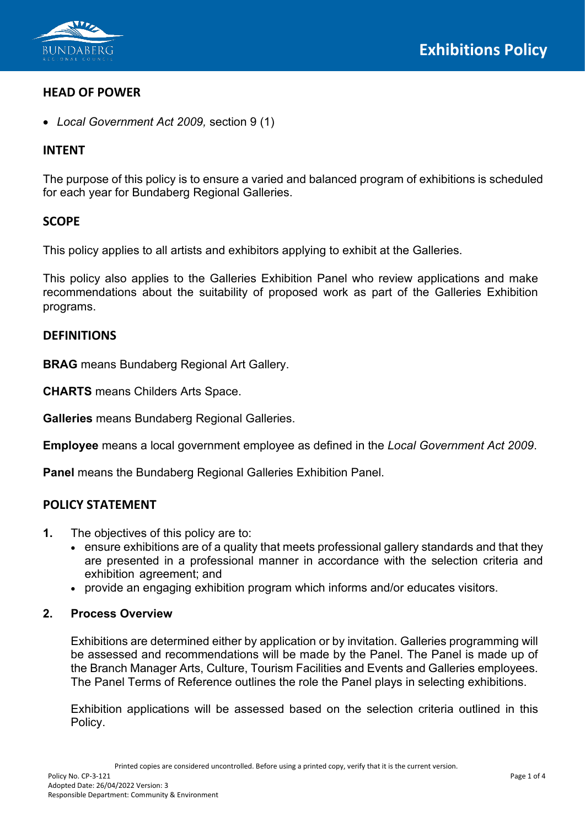

# **HEAD OF POWER**

• *Local Government Act 2009,* section 9 (1)

# **INTENT**

The purpose of this policy is to ensure a varied and balanced program of exhibitions is scheduled for each year for Bundaberg Regional Galleries.

# **SCOPE**

This policy applies to all artists and exhibitors applying to exhibit at the Galleries.

This policy also applies to the Galleries Exhibition Panel who review applications and make recommendations about the suitability of proposed work as part of the Galleries Exhibition programs.

# **DEFINITIONS**

**BRAG** means Bundaberg Regional Art Gallery.

**CHARTS** means Childers Arts Space.

**Galleries** means Bundaberg Regional Galleries.

**Employee** means a local government employee as defined in the *Local Government Act 2009*.

**Panel** means the Bundaberg Regional Galleries Exhibition Panel.

## **POLICY STATEMENT**

- **1.** The objectives of this policy are to:
	- ensure exhibitions are of a quality that meets professional gallery standards and that they are presented in a professional manner in accordance with the selection criteria and exhibition agreement; and
	- provide an engaging exhibition program which informs and/or educates visitors.
- **2. Process Overview**

Exhibitions are determined either by application or by invitation. Galleries programming will be assessed and recommendations will be made by the Panel. The Panel is made up of the Branch Manager Arts, Culture, Tourism Facilities and Events and Galleries employees. The Panel Terms of Reference outlines the role the Panel plays in selecting exhibitions.

Exhibition applications will be assessed based on the selection criteria outlined in this Policy.

Printed copies are considered uncontrolled. Before using a printed copy, verify that it is the current version.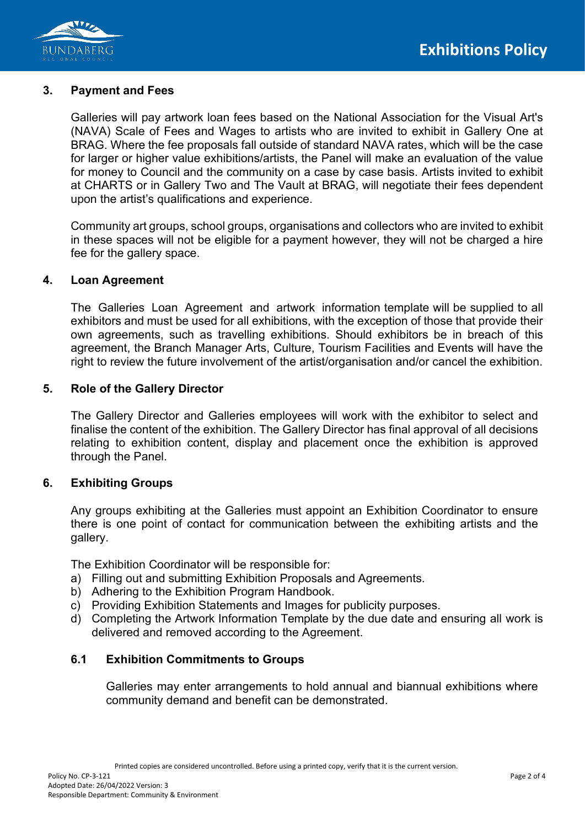

#### **3. Payment and Fees**

Galleries will pay artwork loan fees based on the National Association for the Visual Art's (NAVA) Scale of Fees and Wages to artists who are invited to exhibit in Gallery One at BRAG. Where the fee proposals fall outside of standard NAVA rates, which will be the case for larger or higher value exhibitions/artists, the Panel will make an evaluation of the value for money to Council and the community on a case by case basis. Artists invited to exhibit at CHARTS or in Gallery Two and The Vault at BRAG, will negotiate their fees dependent upon the artist's qualifications and experience.

Community art groups, school groups, organisations and collectors who are invited to exhibit in these spaces will not be eligible for a payment however, they will not be charged a hire fee for the gallery space.

#### **4. Loan Agreement**

The Galleries Loan Agreement and artwork information template will be supplied to all exhibitors and must be used for all exhibitions, with the exception of those that provide their own agreements, such as travelling exhibitions. Should exhibitors be in breach of this agreement, the Branch Manager Arts, Culture, Tourism Facilities and Events will have the right to review the future involvement of the artist/organisation and/or cancel the exhibition.

#### **5. Role of the Gallery Director**

The Gallery Director and Galleries employees will work with the exhibitor to select and finalise the content of the exhibition. The Gallery Director has final approval of all decisions relating to exhibition content, display and placement once the exhibition is approved through the Panel.

## **6. Exhibiting Groups**

Any groups exhibiting at the Galleries must appoint an Exhibition Coordinator to ensure there is one point of contact for communication between the exhibiting artists and the gallery.

The Exhibition Coordinator will be responsible for:

- a) Filling out and submitting Exhibition Proposals and Agreements.
- b) Adhering to the Exhibition Program Handbook.
- c) Providing Exhibition Statements and Images for publicity purposes.
- d) Completing the Artwork Information Template by the due date and ensuring all work is delivered and removed according to the Agreement.

#### **6.1 Exhibition Commitments to Groups**

Galleries may enter arrangements to hold annual and biannual exhibitions where community demand and benefit can be demonstrated.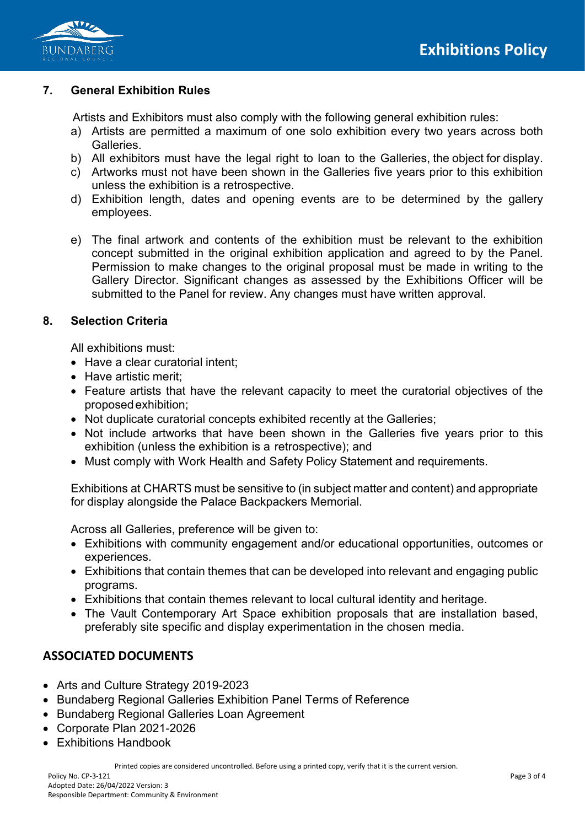

## **7. General Exhibition Rules**

Artists and Exhibitors must also comply with the following general exhibition rules:

- a) Artists are permitted a maximum of one solo exhibition every two years across both Galleries.
- b) All exhibitors must have the legal right to loan to the Galleries, the object for display.
- c) Artworks must not have been shown in the Galleries five years prior to this exhibition unless the exhibition is a retrospective.
- d) Exhibition length, dates and opening events are to be determined by the gallery employees.
- e) The final artwork and contents of the exhibition must be relevant to the exhibition concept submitted in the original exhibition application and agreed to by the Panel. Permission to make changes to the original proposal must be made in writing to the Gallery Director. Significant changes as assessed by the Exhibitions Officer will be submitted to the Panel for review. Any changes must have written approval.

### **8. Selection Criteria**

All exhibitions must:

- Have a clear curatorial intent:
- Have artistic merit;
- Feature artists that have the relevant capacity to meet the curatorial objectives of the proposedexhibition;
- Not duplicate curatorial concepts exhibited recently at the Galleries;
- Not include artworks that have been shown in the Galleries five years prior to this exhibition (unless the exhibition is a retrospective); and
- Must comply with Work Health and Safety Policy Statement and requirements.

Exhibitions at CHARTS must be sensitive to (in subject matter and content) and appropriate for display alongside the Palace Backpackers Memorial.

Across all Galleries, preference will be given to:

- Exhibitions with community engagement and/or educational opportunities, outcomes or experiences.
- Exhibitions that contain themes that can be developed into relevant and engaging public programs.
- Exhibitions that contain themes relevant to local cultural identity and heritage.
- The Vault Contemporary Art Space exhibition proposals that are installation based, preferably site specific and display experimentation in the chosen media.

# **ASSOCIATED DOCUMENTS**

- Arts and Culture Strategy 2019-2023
- Bundaberg Regional Galleries Exhibition Panel Terms of Reference
- Bundaberg Regional Galleries Loan Agreement
- Corporate Plan 2021-2026
- Exhibitions Handbook

Printed copies are considered uncontrolled. Before using a printed copy, verify that it is the current version.